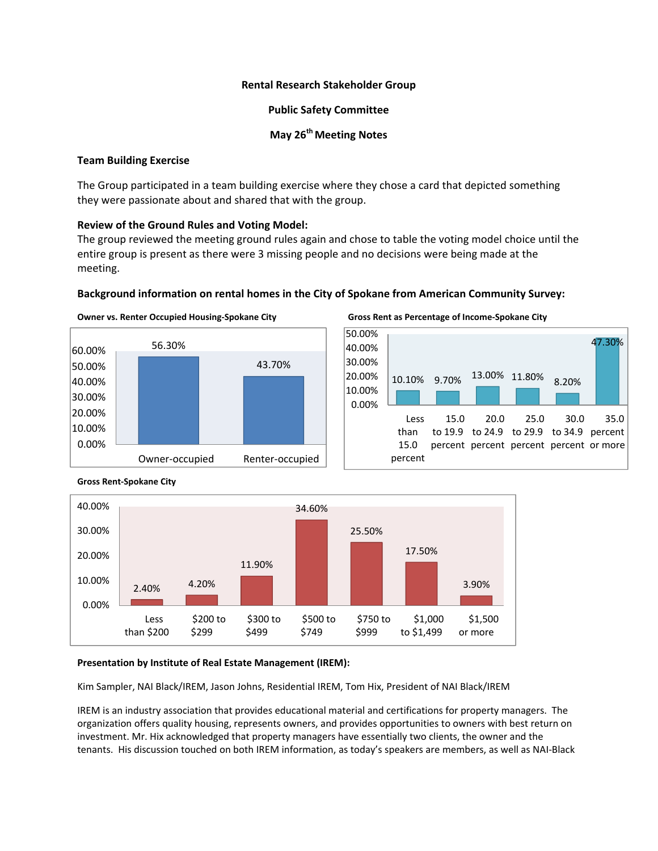## **Rental Research Stakeholder Group**

## **Public Safety Committee**

## **May 26<sup>th</sup> Meeting Notes**

## **Team Building Exercise**

The Group participated in a team building exercise where they chose a card that depicted something they were passionate about and shared that with the group.

# **Review of the Ground Rules and Voting Model:**

The group reviewed the meeting ground rules again and chose to table the voting model choice until the entire group is present as there were 3 missing people and no decisions were being made at the meeting.

# **Background information on rental homes in the City of Spokane from American Community Survey:**





Owner vs. Renter Occupied Housing-Spokane City Gross Rent as Percentage of Income-Spokane City





# **Gross Rent‐Spokane City**

### **Presentation by Institute of Real Estate Management (IREM):**

Kim Sampler, NAI Black/IREM, Jason Johns, Residential IREM, Tom Hix, President of NAI Black/IREM

IREM is an industry association that provides educational material and certifications for property managers. The organization offers quality housing, represents owners, and provides opportunities to owners with best return on investment. Mr. Hix acknowledged that property managers have essentially two clients, the owner and the tenants. His discussion touched on both IREM information, as today's speakers are members, as well as NAI‐Black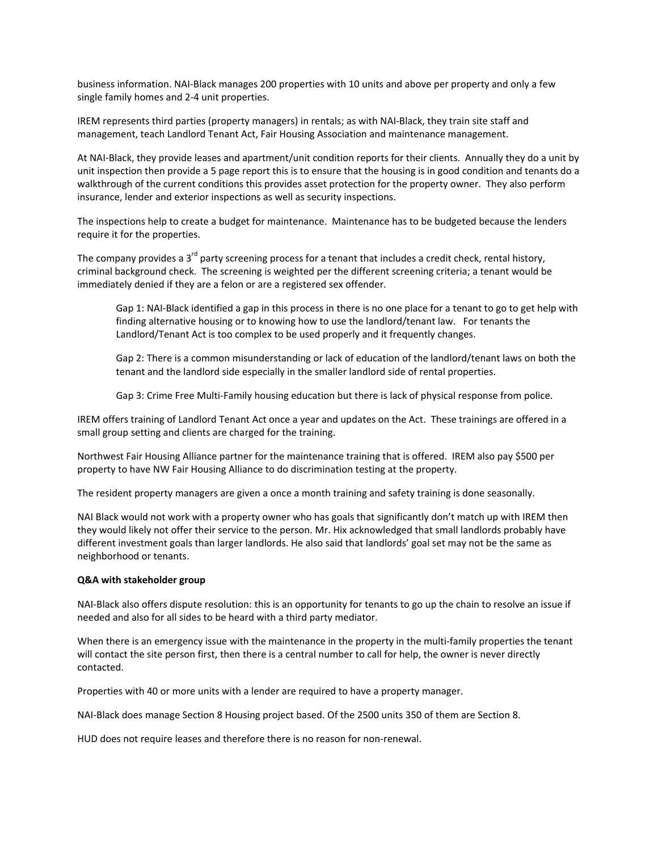business information. NAI‐Black manages 200 properties with 10 units and above per property and only a few single family homes and 2‐4 unit properties.

IREM represents third parties (property managers) in rentals; as with NAI‐Black, they train site staff and management, teach Landlord Tenant Act, Fair Housing Association and maintenance management.

At NAI‐Black, they provide leases and apartment/unit condition reports for their clients. Annually they do a unit by unit inspection then provide a 5 page report this is to ensure that the housing is in good condition and tenants do a walkthrough of the current conditions this provides asset protection for the property owner. They also perform insurance, lender and exterior inspections as well as security inspections.

The inspections help to create a budget for maintenance. Maintenance has to be budgeted because the lenders require it for the properties.

The company provides a 3<sup>rd</sup> party screening process for a tenant that includes a credit check, rental history, criminal background check. The screening is weighted per the different screening criteria; a tenant would be immediately denied if they are a felon or are a registered sex offender.

Gap 1: NAI‐Black identified a gap in this process in there is no one place for a tenant to go to get help with finding alternative housing or to knowing how to use the landlord/tenant law. For tenants the Landlord/Tenant Act is too complex to be used properly and it frequently changes.

Gap 2: There is a common misunderstanding or lack of education of the landlord/tenant laws on both the tenant and the landlord side especially in the smaller landlord side of rental properties.

Gap 3: Crime Free Multi-Family housing education but there is lack of physical response from police.

IREM offers training of Landlord Tenant Act once a year and updates on the Act. These trainings are offered in a small group setting and clients are charged for the training.

Northwest Fair Housing Alliance partner for the maintenance training that is offered. IREM also pay \$500 per property to have NW Fair Housing Alliance to do discrimination testing at the property.

The resident property managers are given a once a month training and safety training is done seasonally.

NAI Black would not work with a property owner who has goals that significantly don't match up with IREM then they would likely not offer their service to the person. Mr. Hix acknowledged that small landlords probably have different investment goals than larger landlords. He also said that landlords' goal set may not be the same as neighborhood or tenants.

#### **Q&A with stakeholder group**

NAI-Black also offers dispute resolution: this is an opportunity for tenants to go up the chain to resolve an issue if needed and also for all sides to be heard with a third party mediator.

When there is an emergency issue with the maintenance in the property in the multi-family properties the tenant will contact the site person first, then there is a central number to call for help, the owner is never directly contacted.

Properties with 40 or more units with a lender are required to have a property manager.

NAI‐Black does manage Section 8 Housing project based. Of the 2500 units 350 of them are Section 8.

HUD does not require leases and therefore there is no reason for non-renewal.